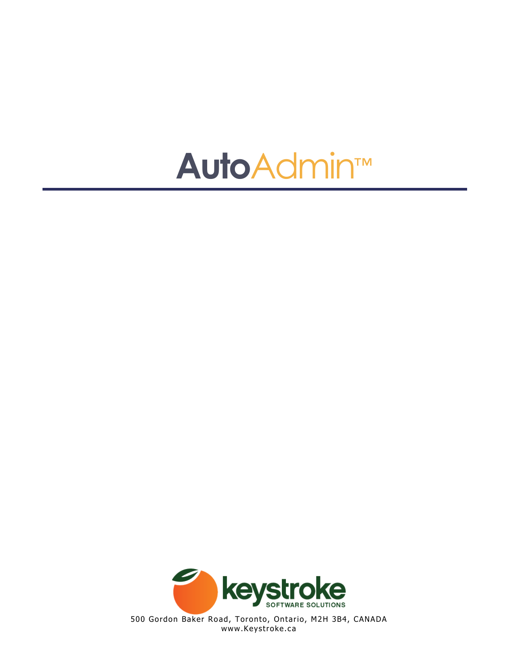



500 Gordon Baker Road, Toronto, Ontario, M2H 3B4, CANADA www.Keystroke.ca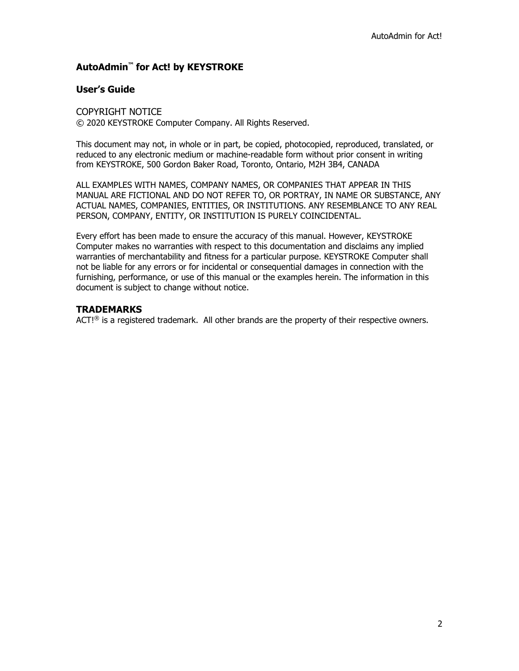#### **AutoAdmin™ for Act! by KEYSTROKE**

#### **User's Guide**

COPYRIGHT NOTICE © 2020 KEYSTROKE Computer Company. All Rights Reserved.

This document may not, in whole or in part, be copied, photocopied, reproduced, translated, or reduced to any electronic medium or machine-readable form without prior consent in writing from KEYSTROKE, 500 Gordon Baker Road, Toronto, Ontario, M2H 3B4, CANADA

ALL EXAMPLES WITH NAMES, COMPANY NAMES, OR COMPANIES THAT APPEAR IN THIS MANUAL ARE FICTIONAL AND DO NOT REFER TO, OR PORTRAY, IN NAME OR SUBSTANCE, ANY ACTUAL NAMES, COMPANIES, ENTITIES, OR INSTITUTIONS. ANY RESEMBLANCE TO ANY REAL PERSON, COMPANY, ENTITY, OR INSTITUTION IS PURELY COINCIDENTAL.

Every effort has been made to ensure the accuracy of this manual. However, KEYSTROKE Computer makes no warranties with respect to this documentation and disclaims any implied warranties of merchantability and fitness for a particular purpose. KEYSTROKE Computer shall not be liable for any errors or for incidental or consequential damages in connection with the furnishing, performance, or use of this manual or the examples herein. The information in this document is subject to change without notice.

#### **TRADEMARKS**

ACT!<sup>®</sup> is a registered trademark. All other brands are the property of their respective owners.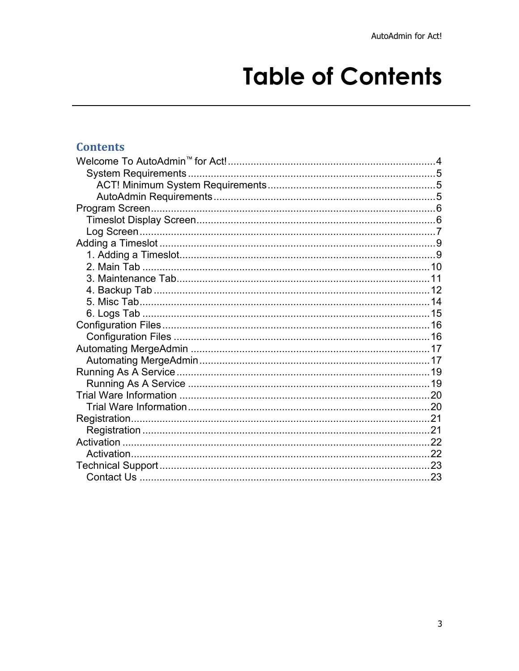# **Table of Contents**

### **Contents**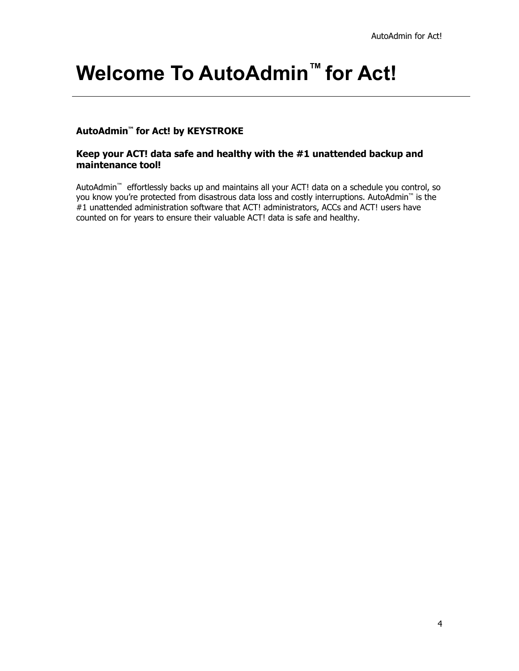## <span id="page-3-0"></span>**Welcome To AutoAdmin™ for Act!**

#### **AutoAdmin™ for Act! by KEYSTROKE**

#### **Keep your ACT! data safe and healthy with the #1 unattended backup and maintenance tool!**

AutoAdmin™ effortlessly backs up and maintains all your ACT! data on a schedule you control, so you know you're protected from disastrous data loss and costly interruptions. AutoAdmin™ is the #1 unattended administration software that ACT! administrators, ACCs and ACT! users have counted on for years to ensure their valuable ACT! data is safe and healthy.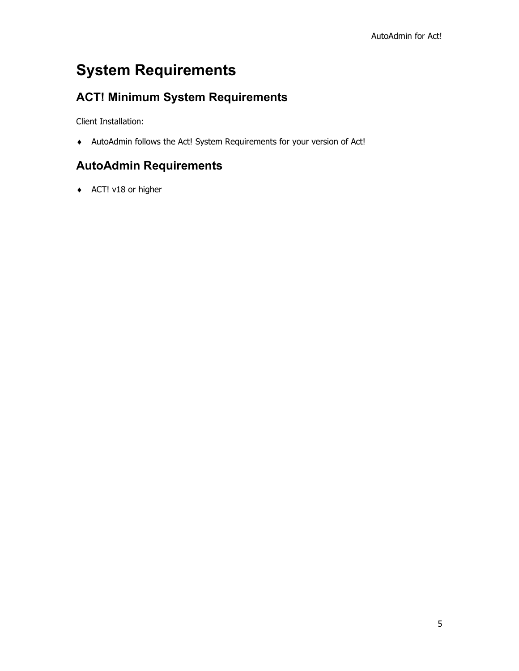## <span id="page-4-0"></span>**System Requirements**

### <span id="page-4-1"></span>**ACT! Minimum System Requirements**

Client Installation:

♦ AutoAdmin follows the Act! System Requirements for your version of Act!

### <span id="page-4-2"></span>**AutoAdmin Requirements**

♦ ACT! v18 or higher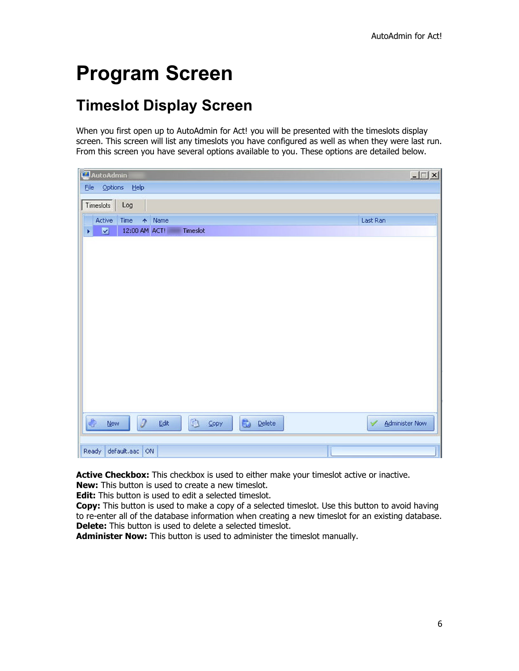## <span id="page-5-0"></span>**Program Screen**

### <span id="page-5-1"></span>**Timeslot Display Screen**

When you first open up to AutoAdmin for Act! you will be presented with the timeslots display screen. This screen will list any timeslots you have configured as well as when they were last run. From this screen you have several options available to you. These options are detailed below.

| AutoAdmin                                                            | $ \Box$ $\times$               |
|----------------------------------------------------------------------|--------------------------------|
| File Options Help                                                    |                                |
| Log<br>Timeslots                                                     |                                |
| Active<br>Time<br>↑ Name                                             | Last Ran                       |
| $\blacksquare$<br>Timeslot<br>$\blacktriangleright$<br>12:00 AM ACT! |                                |
|                                                                      |                                |
|                                                                      |                                |
|                                                                      |                                |
|                                                                      |                                |
|                                                                      |                                |
|                                                                      |                                |
|                                                                      |                                |
|                                                                      |                                |
|                                                                      |                                |
|                                                                      |                                |
|                                                                      |                                |
|                                                                      |                                |
|                                                                      |                                |
| $\partial$<br><b>卷 Copy</b><br>4<br><b>Delete</b><br>Edit<br>$New$   | $\checkmark$<br>Administer Now |
|                                                                      |                                |
| default.aac ON<br>Ready                                              |                                |

Active Checkbox: This checkbox is used to either make your timeslot active or inactive.

**New:** This button is used to create a new timeslot.

**Edit:** This button is used to edit a selected timeslot.

**Copy:** This button is used to make a copy of a selected timeslot. Use this button to avoid having to re-enter all of the database information when creating a new timeslot for an existing database. **Delete:** This button is used to delete a selected timeslot.

**Administer Now:** This button is used to administer the timeslot manually.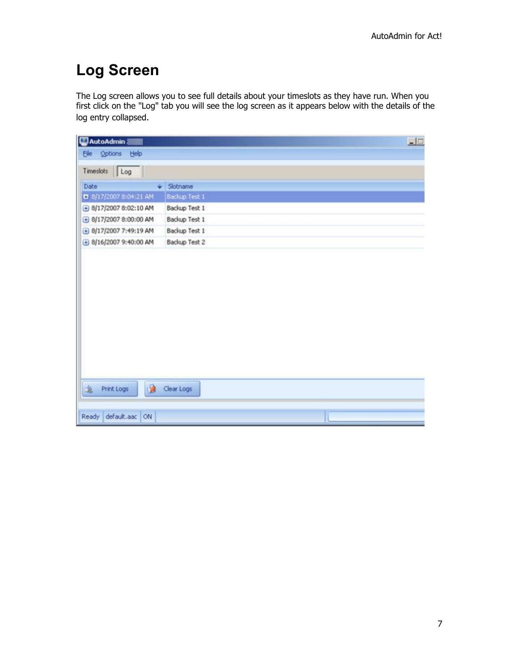### <span id="page-6-0"></span>**Log Screen**

The Log screen allows you to see full details about your timeslots as they have run. When you first click on the "Log" tab you will see the log screen as it appears below with the details of the log entry collapsed.

| AutoAdmin &                                     |                       |  | $\Box$ |
|-------------------------------------------------|-----------------------|--|--------|
| Eile Options Help                               |                       |  |        |
| Timeslots Log                                   |                       |  |        |
| Date                                            | $\downarrow$ Slotname |  |        |
| 8/17/2007 8:04:21 AM                            | Backup Test 1         |  |        |
| $\bigoplus$ 8/17/2007 8:02:10 AM                | Backup Test 1         |  |        |
| $\bigoplus$ 8/17/2007 8:00:00 AM                | Backup Test 1         |  |        |
| + 8/17/2007 7:49:19 AM                          | Backup Test 1         |  |        |
| $\bigoplus$ 8/16/2007 9:40:00 AM                | Backup Test 2         |  |        |
|                                                 |                       |  |        |
| <b>Signe Print Logs</b><br>Ready default.aac ON | <b>Clear Logs</b>     |  |        |
|                                                 |                       |  |        |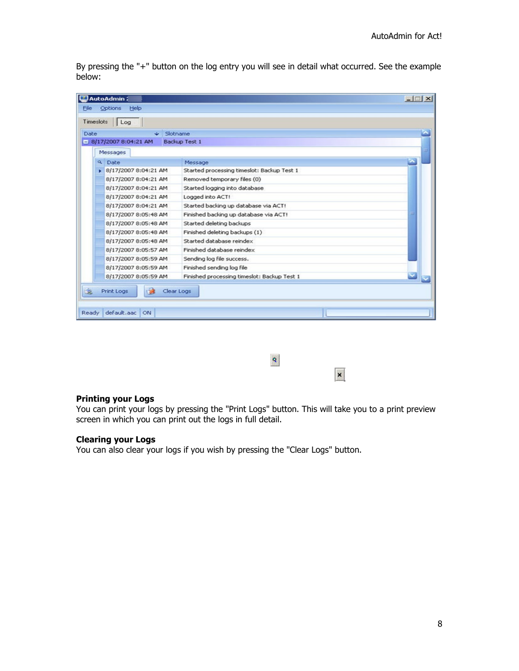By pressing the "+" button on the log entry you will see in detail what occurred. See the example below:

| AutoAdmin:                    |                                                       | $-1$ $\Box$ $\times$ |
|-------------------------------|-------------------------------------------------------|----------------------|
| Options<br>Help<br>File       |                                                       |                      |
| Timeslots   Log               |                                                       |                      |
| Date<br>$\mathsf{L}$ Slotname |                                                       |                      |
| $-18/17/20078:04:21AM$        | Backup Test 1                                         |                      |
| Messages                      |                                                       |                      |
| Date<br>$\alpha$              |                                                       |                      |
| ▶ 8/17/2007 8:04:21 AM        | Message<br>Started processing timeslot: Backup Test 1 |                      |
| 8/17/2007 8:04:21 AM          | Removed temporary files (0)                           |                      |
| 8/17/2007 8:04:21 AM          | Started logging into database                         |                      |
| 8/17/2007 8:04:21 AM          | Logged into ACT!                                      |                      |
| 8/17/2007 8:04:21 AM          | Started backing up database via ACT!                  |                      |
| 8/17/2007 8:05:48 AM          | Finished backing up database via ACT!                 | Ξ                    |
| 8/17/2007 8:05:48 AM          | Started deleting backups                              |                      |
| 8/17/2007 8:05:48 AM          | Finished deleting backups (1)                         |                      |
| 8/17/2007 8:05:48 AM          | Started database reindex                              |                      |
| 8/17/2007 8:05:57 AM          | Finished database reindex                             |                      |
| 8/17/2007 8:05:59 AM          | Sending log file success.                             |                      |
| 8/17/2007 8:05:59 AM          | Finished sending log file                             |                      |
| 8/17/2007 8:05:59 AM          | Finished processing timeslot: Backup Test 1           |                      |
| 乏<br>Print Logs<br>138        | Clear Logs                                            |                      |
| default, aac<br>Ready<br>ON   |                                                       |                      |

 $\boldsymbol{\mathsf{x}}$ 

 $\mathbf{S}$ 

#### **Printing your Logs**

You can print your logs by pressing the "Print Logs" button. This will take you to a print preview screen in which you can print out the logs in full detail.

#### **Clearing your Logs**

You can also clear your logs if you wish by pressing the "Clear Logs" button.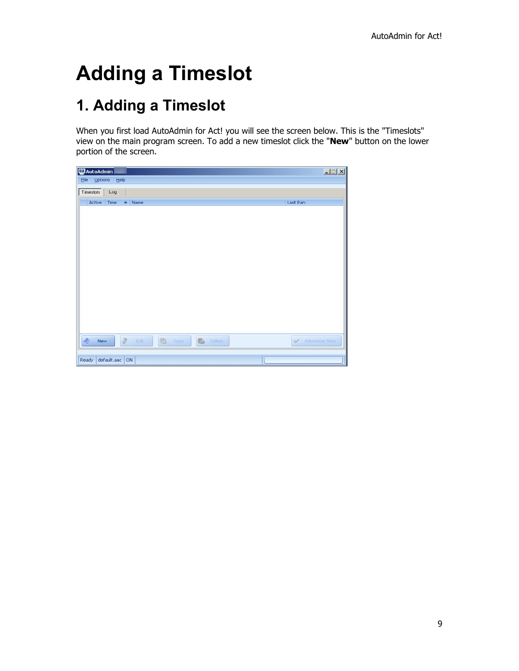## <span id="page-8-0"></span>**Adding a Timeslot**

## <span id="page-8-1"></span>**1. Adding a Timeslot**

When you first load AutoAdmin for Act! you will see the screen below. This is the "Timeslots" view on the main program screen. To add a new timeslot click the "**New**" button on the lower portion of the screen.

| AutoAdmin                                      | $\Box$ $\Box$ $\times$ |
|------------------------------------------------|------------------------|
| Options Help<br>Eile                           |                        |
| Timeslots<br>Log                               |                        |
| Active<br>Time<br>↑ Name                       | Last Ran               |
|                                                |                        |
|                                                |                        |
|                                                |                        |
|                                                |                        |
|                                                |                        |
|                                                |                        |
|                                                |                        |
|                                                |                        |
|                                                |                        |
|                                                |                        |
|                                                |                        |
|                                                |                        |
| $\bullet$<br>a Edit   6 Copy   6 Delete<br>New | Administer Now         |
|                                                |                        |
| Ready default.aac ON                           |                        |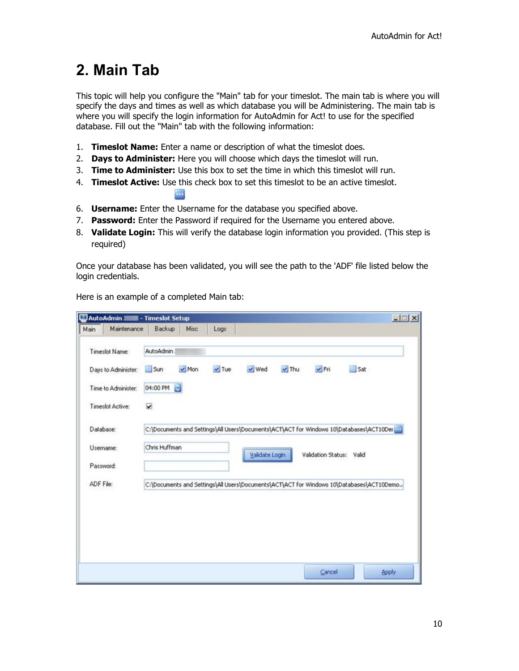### <span id="page-9-0"></span>**2. Main Tab**

This topic will help you configure the "Main" tab for your timeslot. The main tab is where you will specify the days and times as well as which database you will be Administering. The main tab is where you will specify the login information for AutoAdmin for Act! to use for the specified database. Fill out the "Main" tab with the following information:

- 1. **Timeslot Name:** Enter a name or description of what the timeslot does.
- 2. **Days to Administer:** Here you will choose which days the timeslot will run.
- 3. **Time to Administer:** Use this box to set the time in which this timeslot will run.
- 4. **Timeslot Active:** Use this check box to set this timeslot to be an active timeslot.
- 6. **Username:** Enter the Username for the database you specified above.

m.

- 7. **Password:** Enter the Password if required for the Username you entered above.
- 8. **Validate Login:** This will verify the database login information you provided. (This step is required)

Once your database has been validated, you will see the path to the 'ADF' file listed below the login credentials.

|                  | AutoAdmin <b>SUB</b> - Timeslot Setup |               |            |            |                |            |                                                                                          |     | $-1$ $\Box$ $\times$ |
|------------------|---------------------------------------|---------------|------------|------------|----------------|------------|------------------------------------------------------------------------------------------|-----|----------------------|
| Main             | Maintenance                           | Backup        | Misc       | Logs       |                |            |                                                                                          |     |                      |
| Timeslot Name:   |                                       | AutoAdmin :   |            |            |                |            |                                                                                          |     |                      |
|                  | Days to Administer:                   | Sun           | $\vee$ Mon | $\vee$ Tue | $\vee$ Wed     | $\vee$ Thu | $\nu$ Fri                                                                                | 5at |                      |
|                  | Time to Administer:                   | 04:00 PM      | G          |            |                |            |                                                                                          |     |                      |
| Timeslot Active: |                                       | ⊽             |            |            |                |            |                                                                                          |     |                      |
| Database:        |                                       |               |            |            |                |            | C:\Documents and Settings\All Users\Documents\ACT\ACT for Windows 10\Databases\ACT10Der  |     |                      |
| Username:        |                                       | Chris Huffman |            |            | Validate Login |            | Validation Status: Valid                                                                 |     |                      |
| Password:        |                                       |               |            |            |                |            |                                                                                          |     |                      |
| ADF File:        |                                       |               |            |            |                |            | C:\Documents and Settings\All Users\Documents\ACT\ACT for Windows 10\Databases\ACT10Demo |     |                      |
|                  |                                       |               |            |            |                |            |                                                                                          |     |                      |
|                  |                                       |               |            |            |                |            |                                                                                          |     |                      |
|                  |                                       |               |            |            |                |            |                                                                                          |     |                      |
|                  |                                       |               |            |            |                |            |                                                                                          |     |                      |
|                  |                                       |               |            |            |                |            | Cancel                                                                                   |     | <b>Apply</b>         |

Here is an example of a completed Main tab: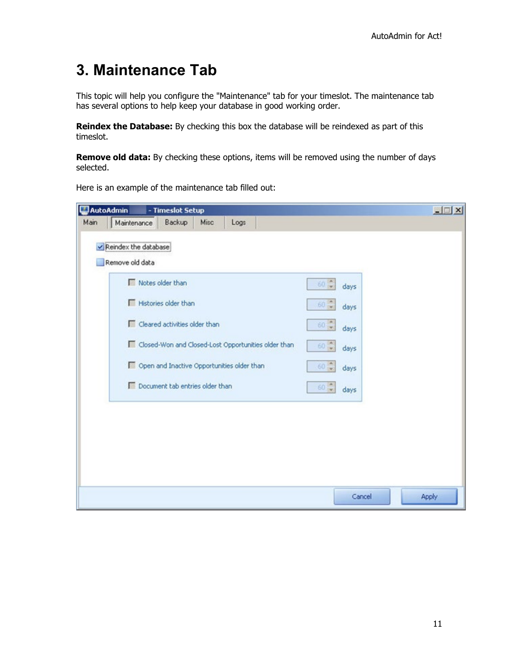### <span id="page-10-0"></span>**3. Maintenance Tab**

This topic will help you configure the "Maintenance" tab for your timeslot. The maintenance tab has several options to help keep your database in good working order.

**Reindex the Database:** By checking this box the database will be reindexed as part of this timeslot.

**Remove old data:** By checking these options, items will be removed using the number of days selected.

|      | AutoAdmin<br>- Timeslot Setup                       |                             | $ \Box$ $\times$ |
|------|-----------------------------------------------------|-----------------------------|------------------|
| Main | Maintenance<br>Backup<br>Misc<br>Logs               |                             |                  |
|      | Reindex the database                                |                             |                  |
|      | Remove old data                                     |                             |                  |
|      |                                                     |                             |                  |
|      | Notes older than                                    | 60<br>days                  |                  |
|      | Histories older than                                | 60<br>days                  |                  |
|      | Cleared activities older than                       | $60 - 7$<br>days            |                  |
|      | Closed-Won and Closed-Lost Opportunities older than | $60 -$<br>days              |                  |
|      | Open and Inactive Opportunities older than          | $\frac{1}{2}$<br>60<br>days |                  |
|      | Document tab entries older than                     | $60 -$<br>days              |                  |
|      |                                                     |                             |                  |
|      |                                                     |                             |                  |
|      |                                                     |                             |                  |
|      |                                                     |                             |                  |
|      |                                                     |                             |                  |
|      |                                                     |                             |                  |
|      |                                                     | Cancel                      | Apply            |

Here is an example of the maintenance tab filled out: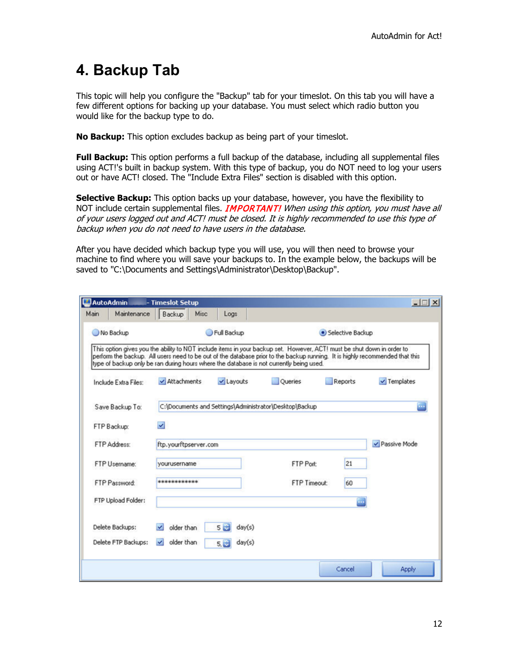### <span id="page-11-0"></span>**4. Backup Tab**

This topic will help you configure the "Backup" tab for your timeslot. On this tab you will have a few different options for backing up your database. You must select which radio button you would like for the backup type to do.

**No Backup:** This option excludes backup as being part of your timeslot.

**Full Backup:** This option performs a full backup of the database, including all supplemental files using ACT!'s built in backup system. With this type of backup, you do NOT need to log your users out or have ACT! closed. The "Include Extra Files" section is disabled with this option.

**Selective Backup:** This option backs up your database, however, you have the flexibility to NOT include certain supplemental files. **IMPORTANT!** When using this option, you must have all of your users logged out and ACT! must be closed. It is highly recommended to use this type of backup when you do not need to have users in the database.

After you have decided which backup type you will use, you will then need to browse your machine to find where you will save your backups to. In the example below, the backups will be saved to "C:\Documents and Settings\Administrator\Desktop\Backup".

|      | AutoAdmin            | - Timeslot Setup                 |      |                          |                                                                                                                                                                                                                                                                                                                                                   |                    | $ \Box$ $\times$ |
|------|----------------------|----------------------------------|------|--------------------------|---------------------------------------------------------------------------------------------------------------------------------------------------------------------------------------------------------------------------------------------------------------------------------------------------------------------------------------------------|--------------------|------------------|
| Main | Maintenance          | Backup                           | Misc | Logs                     |                                                                                                                                                                                                                                                                                                                                                   |                    |                  |
|      | No Backup            |                                  |      | Full Backup              |                                                                                                                                                                                                                                                                                                                                                   | · Selective Backup |                  |
|      |                      |                                  |      |                          | This option gives you the ability to NOT include items in your backup set. However, ACT! must be shut down in order to<br>perform the backup. All users need to be out of the database prior to the backup running. It is highly recommended that this<br>type of backup only be ran during hours where the database is not currently being used. |                    |                  |
|      | Include Extra Files: | ✔ Attachments                    |      | v Layouts                | Oueries                                                                                                                                                                                                                                                                                                                                           | Reports            | $\vee$ Templates |
|      | Save Backup To:      |                                  |      |                          | C:\Documents and Settings\Administrator\Desktop\Backup                                                                                                                                                                                                                                                                                            |                    | ш.               |
|      | FTP Backup:          | $\vee$                           |      |                          |                                                                                                                                                                                                                                                                                                                                                   |                    |                  |
|      | FTP Address:         | ftp.yourftpserver.com            |      |                          |                                                                                                                                                                                                                                                                                                                                                   |                    | v Passive Mode   |
|      | FTP Username:        | yourusername                     |      |                          | FTP Port:                                                                                                                                                                                                                                                                                                                                         | 21                 |                  |
|      | FTP Password:        | ***************                  |      |                          | FTP Timeout:                                                                                                                                                                                                                                                                                                                                      | 60                 |                  |
|      | FTP Upload Folder:   |                                  |      |                          |                                                                                                                                                                                                                                                                                                                                                   | m,                 |                  |
|      | Delete Backups:      | older than                       |      | 5 <sup>1</sup><br>day(s) |                                                                                                                                                                                                                                                                                                                                                   |                    |                  |
|      | Delete FTP Backups:  | older than<br>$\vert \vee \vert$ |      | day(s)<br>5.53           |                                                                                                                                                                                                                                                                                                                                                   |                    |                  |
|      |                      |                                  |      |                          |                                                                                                                                                                                                                                                                                                                                                   | Cancel             | Apply            |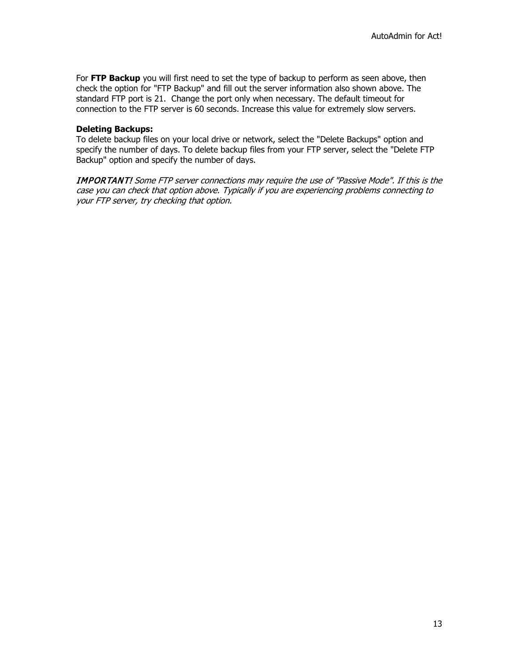For **FTP Backup** you will first need to set the type of backup to perform as seen above, then check the option for "FTP Backup" and fill out the server information also shown above. The standard FTP port is 21. Change the port only when necessary. The default timeout for connection to the FTP server is 60 seconds. Increase this value for extremely slow servers.

#### **Deleting Backups:**

To delete backup files on your local drive or network, select the "Delete Backups" option and specify the number of days. To delete backup files from your FTP server, select the "Delete FTP Backup" option and specify the number of days.

IMPORTANT! Some FTP server connections may require the use of "Passive Mode". If this is the case you can check that option above. Typically if you are experiencing problems connecting to your FTP server, try checking that option.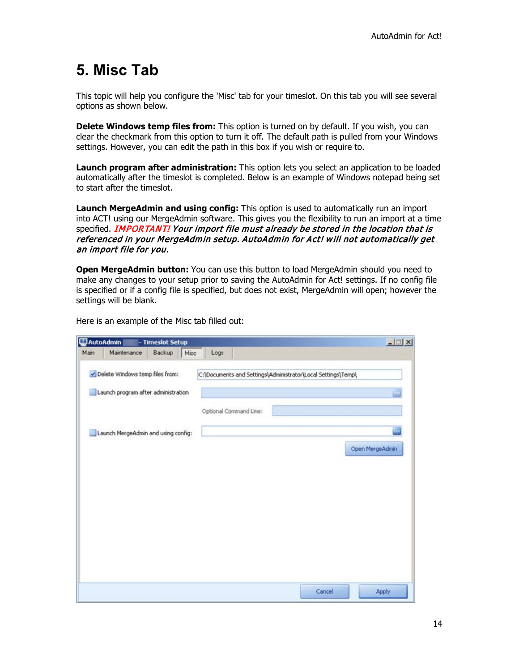### <span id="page-13-0"></span>**5. Misc Tab**

This topic will help you configure the 'Misc' tab for your timeslot. On this tab you will see several options as shown below.

**Delete Windows temp files from:** This option is turned on by default. If you wish, you can clear the checkmark from this option to turn it off. The default path is pulled from your Windows settings. However, you can edit the path in this box if you wish or require to.

**Launch program after administration:** This option lets you select an application to be loaded automatically after the timeslot is completed. Below is an example of Windows notepad being set to start after the timeslot.

**Launch MergeAdmin and using config:** This option is used to automatically run an import into ACT! using our MergeAdmin software. This gives you the flexibility to run an import at a time specified. IMPORTANT! Your import file must already be stored in the location that is referenced in your MergeAdmin setup. AutoAdmin for Act! will not automatically get an import file for you.

**Open MergeAdmin button:** You can use this button to load MergeAdmin should you need to make any changes to your setup prior to saving the AutoAdmin for Act! settings. If no config file is specified or if a config file is specified, but does not exist, MergeAdmin will open; however the settings will be blank.

Here is an example of the Misc tab filled out:

|      | AutoAdmin                           | - Timeslot Setup                    |                                                              | $-121 \times$   |
|------|-------------------------------------|-------------------------------------|--------------------------------------------------------------|-----------------|
| Main | Maintenance                         | Backup Misc                         | Logs                                                         |                 |
|      | Delete Windows temp files from:     |                                     | C:\Documents and Settings\Administrator\Local Settings\Temp\ |                 |
|      | Launch program after administration |                                     |                                                              |                 |
|      |                                     |                                     | Optional Command Line:                                       |                 |
|      |                                     | Launch MergeAdmin and using config: |                                                              | p.              |
|      |                                     |                                     |                                                              | Open MergeAdmin |
|      |                                     |                                     |                                                              |                 |
|      |                                     |                                     |                                                              |                 |
|      |                                     |                                     |                                                              |                 |
|      |                                     |                                     |                                                              |                 |
|      |                                     |                                     |                                                              |                 |
|      |                                     |                                     |                                                              |                 |
|      |                                     |                                     |                                                              |                 |
|      |                                     |                                     |                                                              |                 |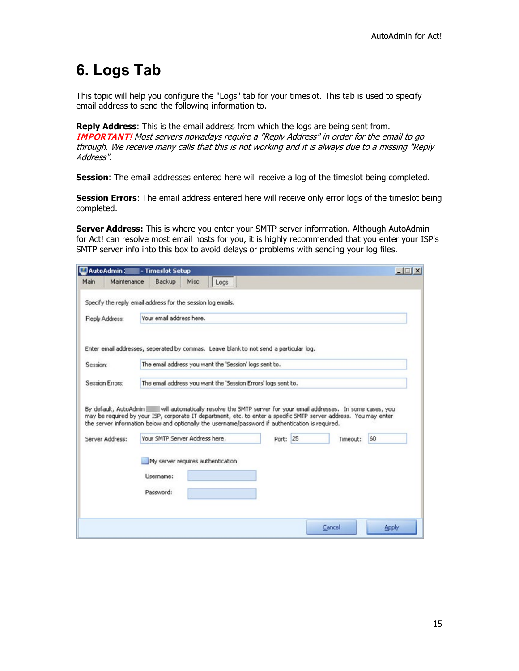### <span id="page-14-0"></span>**6. Logs Tab**

This topic will help you configure the "Logs" tab for your timeslot. This tab is used to specify email address to send the following information to.

**Reply Address**: This is the email address from which the logs are being sent from. IMPORTANT! Most servers nowadays require a "Reply Address" in order for the email to go through. We receive many calls that this is not working and it is always due to a missing "Reply Address".

**Session:** The email addresses entered here will receive a log of the timeslot being completed.

**Session Errors**: The email address entered here will receive only error logs of the timeslot being completed.

**Server Address:** This is where you enter your SMTP server information. Although AutoAdmin for Act! can resolve most email hosts for you, it is highly recommended that you enter your ISP's SMTP server info into this box to avoid delays or problems with sending your log files.

| AutoAdmin 3                                                                                      |             | - Timeslot Setup                  |      |      |                                                               |          |                                                                                                                                                                                                                                    | $ \Box$ $\times$ |
|--------------------------------------------------------------------------------------------------|-------------|-----------------------------------|------|------|---------------------------------------------------------------|----------|------------------------------------------------------------------------------------------------------------------------------------------------------------------------------------------------------------------------------------|------------------|
| Main                                                                                             | Maintenance | Backup                            | Misc | Logs |                                                               |          |                                                                                                                                                                                                                                    |                  |
| Specify the reply email address for the session log emails.                                      |             |                                   |      |      |                                                               |          |                                                                                                                                                                                                                                    |                  |
| Reply Address:                                                                                   |             | Your email address here.          |      |      |                                                               |          |                                                                                                                                                                                                                                    |                  |
| Enter email addresses, seperated by commas. Leave blank to not send a particular log.            |             |                                   |      |      |                                                               |          |                                                                                                                                                                                                                                    |                  |
| Session:                                                                                         |             |                                   |      |      | The email address you want the 'Session' logs sent to.        |          |                                                                                                                                                                                                                                    |                  |
| Session Errors:                                                                                  |             |                                   |      |      | The email address you want the 'Session Errors' logs sent to. |          |                                                                                                                                                                                                                                    |                  |
| the server information below and optionally the username/password if authentication is required. |             |                                   |      |      |                                                               |          | By default, AutoAdmin will automatically resolve the SMTP server for your email addresses. In some cases, you<br>may be required by your ISP, corporate IT department, etc. to enter a specific SMTP server address. You may enter |                  |
| Server Address:                                                                                  |             | Your SMTP Server Address here.    |      |      |                                                               | Port: 25 | Timeout:                                                                                                                                                                                                                           | 60               |
|                                                                                                  |             | My server requires authentication |      |      |                                                               |          |                                                                                                                                                                                                                                    |                  |
|                                                                                                  |             | Username:                         |      |      |                                                               |          |                                                                                                                                                                                                                                    |                  |
|                                                                                                  |             | Password:                         |      |      |                                                               |          |                                                                                                                                                                                                                                    |                  |
|                                                                                                  |             |                                   |      |      |                                                               |          |                                                                                                                                                                                                                                    |                  |
|                                                                                                  |             |                                   |      |      |                                                               |          |                                                                                                                                                                                                                                    |                  |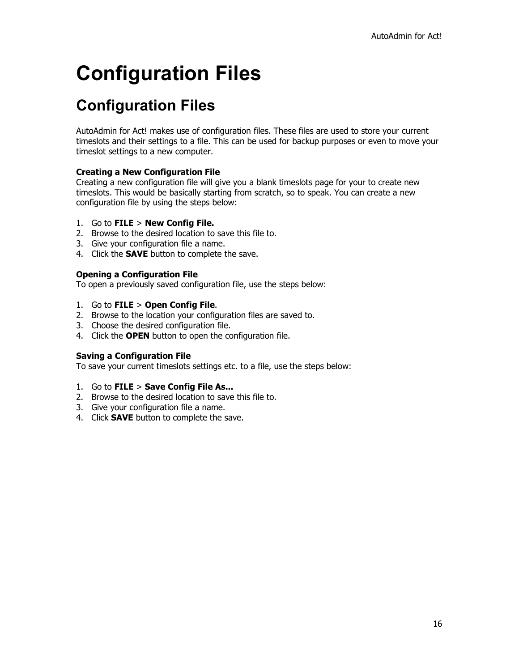# <span id="page-15-0"></span>**Configuration Files**

### <span id="page-15-1"></span>**Configuration Files**

AutoAdmin for Act! makes use of configuration files. These files are used to store your current timeslots and their settings to a file. This can be used for backup purposes or even to move your timeslot settings to a new computer.

#### **Creating a New Configuration File**

Creating a new configuration file will give you a blank timeslots page for your to create new timeslots. This would be basically starting from scratch, so to speak. You can create a new configuration file by using the steps below:

#### 1. Go to **FILE** > **New Config File.**

- 2. Browse to the desired location to save this file to.
- 3. Give your configuration file a name.
- 4. Click the **SAVE** button to complete the save.

#### **Opening a Configuration File**

To open a previously saved configuration file, use the steps below:

- 1. Go to **FILE** > **Open Config File**.
- 2. Browse to the location your configuration files are saved to.
- 3. Choose the desired configuration file.
- 4. Click the **OPEN** button to open the configuration file.

#### **Saving a Configuration File**

To save your current timeslots settings etc. to a file, use the steps below:

- 1. Go to **FILE** > **Save Config File As...**
- 2. Browse to the desired location to save this file to.
- 3. Give your configuration file a name.
- 4. Click **SAVE** button to complete the save.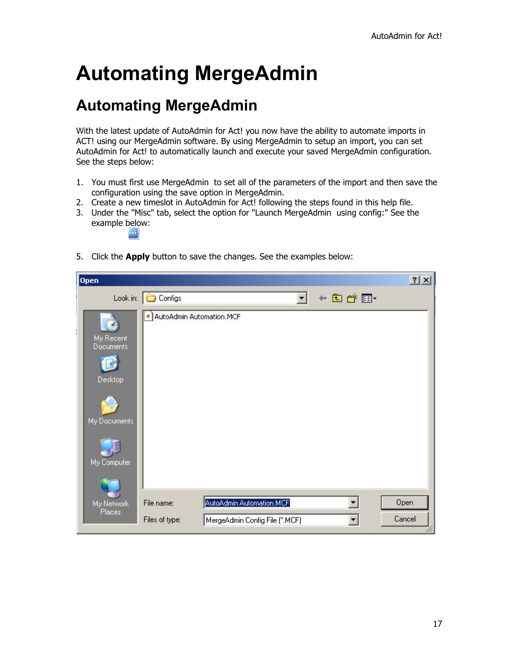## <span id="page-16-0"></span>**Automating MergeAdmin**

### <span id="page-16-1"></span>**Automating MergeAdmin**

With the latest update of AutoAdmin for Act! you now have the ability to automate imports in ACT! using our MergeAdmin software. By using MergeAdmin to setup an import, you can set AutoAdmin for Act! to automatically launch and execute your saved MergeAdmin configuration. See the steps below:

- 1. You must first use MergeAdmin to set all of the parameters of the import and then save the configuration using the save option in MergeAdmin.
- 2. Create a new timeslot in AutoAdmin for Act! following the steps found in this help file.
- 3. Under the "Misc" tab, select the option for "Launch MergeAdmin using config:" See the example below:

5. Click the **Apply** button to save the changes. See the examples below:

| <b>Open</b>                   |                            |                                |                          |             | ? X    |
|-------------------------------|----------------------------|--------------------------------|--------------------------|-------------|--------|
| Look in:                      | Configs                    |                                | $\overline{\phantom{a}}$ | $+E$ of $E$ |        |
|                               | + AutoAdmin Automation.MCF |                                |                          |             |        |
| My Recent<br><b>Documents</b> |                            |                                |                          |             |        |
| <b>Desktop</b>                |                            |                                |                          |             |        |
| My Documents                  |                            |                                |                          |             |        |
| My Computer                   |                            |                                |                          |             |        |
|                               |                            |                                |                          |             |        |
| My Network<br>Places          | File name:                 | AutoAdmin Automation.MCF       |                          |             | Open   |
|                               | Files of type:             | MergeAdmin Config File (".MCF) |                          |             | Cancel |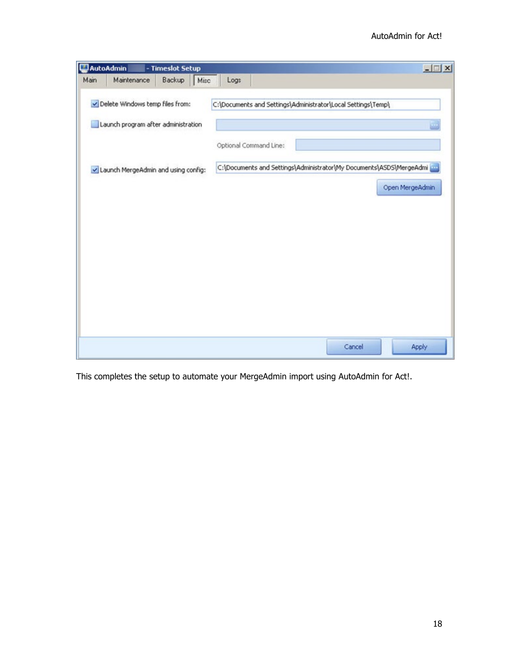| Logs<br>C:\Documents and Settings\Administrator\Local Settings\Temp\ | Maintenance<br>Backup<br>Misc       |      |
|----------------------------------------------------------------------|-------------------------------------|------|
|                                                                      |                                     | Main |
|                                                                      | Delete Windows temp files from:     |      |
|                                                                      | Launch program after administration |      |
| Optional Command Line:                                               |                                     |      |
| C:\Documents and Settings\Administrator\My Documents\ASDS\MergeAdmi  | Launch MergeAdmin and using config: |      |
| Open MergeAdmin                                                      |                                     |      |
|                                                                      |                                     |      |
|                                                                      |                                     |      |
|                                                                      |                                     |      |
|                                                                      |                                     |      |
|                                                                      |                                     |      |
|                                                                      |                                     |      |
| Cancel<br>Apply                                                      |                                     |      |

This completes the setup to automate your MergeAdmin import using AutoAdmin for Act!.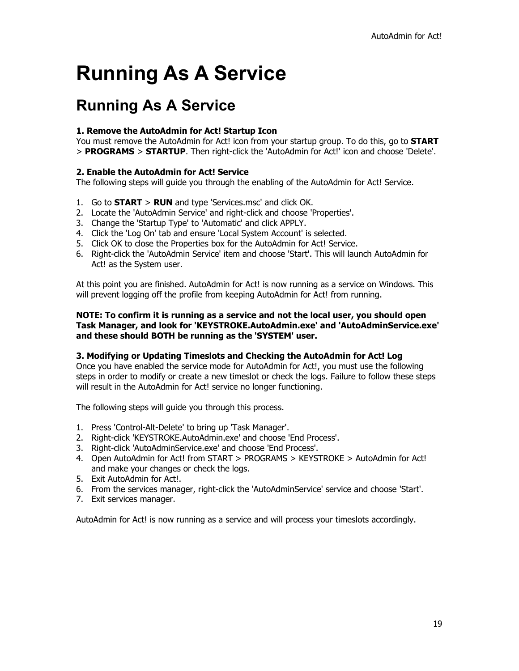## <span id="page-18-0"></span>**Running As A Service**

### <span id="page-18-1"></span>**Running As A Service**

#### **1. Remove the AutoAdmin for Act! Startup Icon**

You must remove the AutoAdmin for Act! icon from your startup group. To do this, go to **START** > **PROGRAMS** > **STARTUP**. Then right-click the 'AutoAdmin for Act!' icon and choose 'Delete'.

#### **2. Enable the AutoAdmin for Act! Service**

The following steps will guide you through the enabling of the AutoAdmin for Act! Service.

- 1. Go to **START** > **RUN** and type 'Services.msc' and click OK.
- 2. Locate the 'AutoAdmin Service' and right-click and choose 'Properties'.
- 3. Change the 'Startup Type' to 'Automatic' and click APPLY.
- 4. Click the 'Log On' tab and ensure 'Local System Account' is selected.
- 5. Click OK to close the Properties box for the AutoAdmin for Act! Service.
- 6. Right-click the 'AutoAdmin Service' item and choose 'Start'. This will launch AutoAdmin for Act! as the System user.

At this point you are finished. AutoAdmin for Act! is now running as a service on Windows. This will prevent logging off the profile from keeping AutoAdmin for Act! from running.

#### **NOTE: To confirm it is running as a service and not the local user, you should open Task Manager, and look for 'KEYSTROKE.AutoAdmin.exe' and 'AutoAdminService.exe' and these should BOTH be running as the 'SYSTEM' user.**

#### **3. Modifying or Updating Timeslots and Checking the AutoAdmin for Act! Log**

Once you have enabled the service mode for AutoAdmin for Act!, you must use the following steps in order to modify or create a new timeslot or check the logs. Failure to follow these steps will result in the AutoAdmin for Act! service no longer functioning.

The following steps will guide you through this process.

- 1. Press 'Control-Alt-Delete' to bring up 'Task Manager'.
- 2. Right-click 'KEYSTROKE.AutoAdmin.exe' and choose 'End Process'.
- 3. Right-click 'AutoAdminService.exe' and choose 'End Process'.
- 4. Open AutoAdmin for Act! from START > PROGRAMS > KEYSTROKE > AutoAdmin for Act! and make your changes or check the logs.
- 5. Exit AutoAdmin for Act!.
- 6. From the services manager, right-click the 'AutoAdminService' service and choose 'Start'.
- 7. Exit services manager.

AutoAdmin for Act! is now running as a service and will process your timeslots accordingly.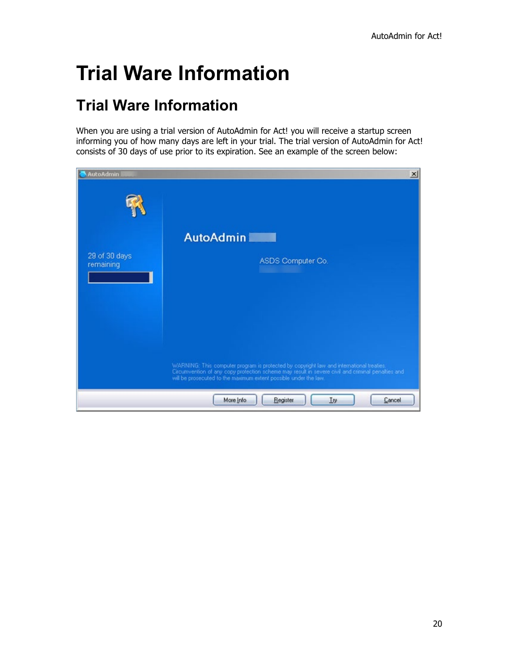## <span id="page-19-0"></span>**Trial Ware Information**

### <span id="page-19-1"></span>**Trial Ware Information**

When you are using a trial version of AutoAdmin for Act! you will receive a startup screen informing you of how many days are left in your trial. The trial version of AutoAdmin for Act! consists of 30 days of use prior to its expiration. See an example of the screen below:

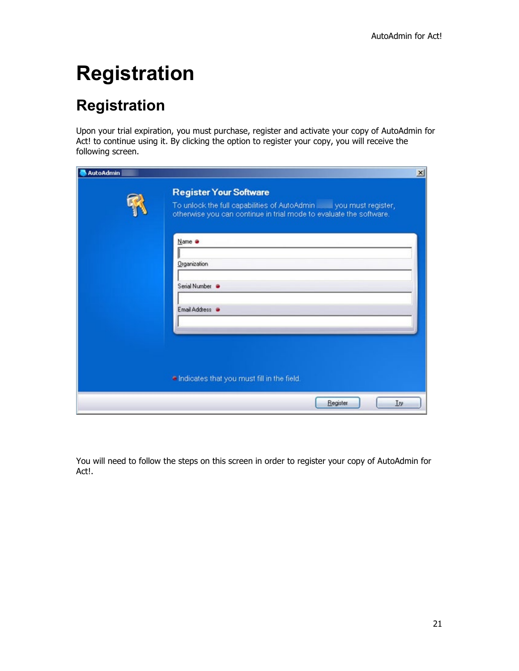# <span id="page-20-0"></span>**Registration**

## <span id="page-20-1"></span>**Registration**

Upon your trial expiration, you must purchase, register and activate your copy of AutoAdmin for Act! to continue using it. By clicking the option to register your copy, you will receive the following screen.

| <b>AutoAdmin</b> |                                                                                                                                                                              | $\mathbf{x}$ |  |  |  |
|------------------|------------------------------------------------------------------------------------------------------------------------------------------------------------------------------|--------------|--|--|--|
|                  | <b>Register Your Software</b><br>To unlock the full capabilities of AutoAdmin _____ you must register,<br>otherwise you can continue in trial mode to evaluate the software. |              |  |  |  |
|                  | Name @                                                                                                                                                                       |              |  |  |  |
|                  | Organization                                                                                                                                                                 |              |  |  |  |
|                  | Serial Number                                                                                                                                                                |              |  |  |  |
|                  | Email Address .                                                                                                                                                              |              |  |  |  |
|                  |                                                                                                                                                                              |              |  |  |  |
|                  |                                                                                                                                                                              |              |  |  |  |
|                  | . Indicates that you must fill in the field.                                                                                                                                 |              |  |  |  |
|                  | Register<br>Try                                                                                                                                                              |              |  |  |  |

You will need to follow the steps on this screen in order to register your copy of AutoAdmin for Act!.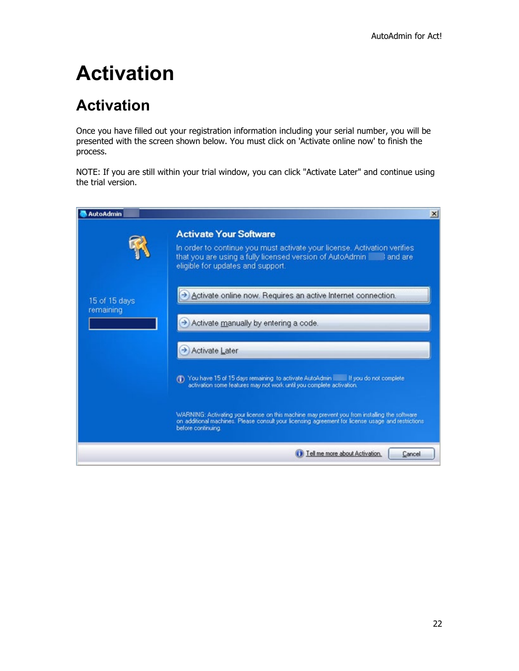## <span id="page-21-0"></span>**Activation**

### <span id="page-21-1"></span>**Activation**

Once you have filled out your registration information including your serial number, you will be presented with the screen shown below. You must click on 'Activate online now' to finish the process.

NOTE: If you are still within your trial window, you can click "Activate Later" and continue using the trial version.

| <b>AutoAdmin</b> |                                                                                                                                                                                                                           | $\vert x \vert$ |  |  |  |
|------------------|---------------------------------------------------------------------------------------------------------------------------------------------------------------------------------------------------------------------------|-----------------|--|--|--|
| 15 of 15 days    | <b>Activate Your Software</b>                                                                                                                                                                                             |                 |  |  |  |
|                  | In order to continue you must activate your license. Activation verifies<br>that you are using a fully licensed version of AutoAdmin and are<br>eligible for updates and support.                                         |                 |  |  |  |
|                  | Activate online now. Requires an active Internet connection.                                                                                                                                                              |                 |  |  |  |
| remaining        | Activate manually by entering a code.                                                                                                                                                                                     |                 |  |  |  |
|                  | Activate Later                                                                                                                                                                                                            |                 |  |  |  |
|                  | (1) You have 15 of 15 days remaining to activate AutoAdmin in If you do not complete<br>activation some features may not work until you complete activation.                                                              |                 |  |  |  |
|                  | WARNING: Activating your license on this machine may prevent you from installing the software<br>on additional machines. Please consult your licensing agreement for license usage and restrictions<br>before continuing. |                 |  |  |  |
|                  | Tell me more about Activation.<br>Cancel                                                                                                                                                                                  |                 |  |  |  |